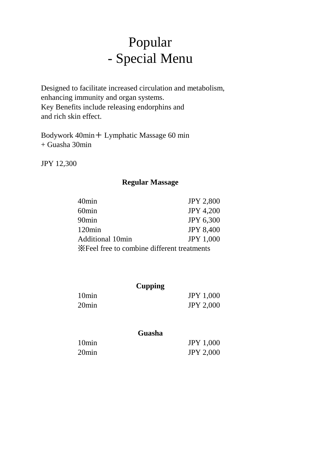# Popular - Special Menu

Designed to facilitate increased circulation and metabolism, enhancing immunity and organ systems. Key Benefits include releasing endorphins and and rich skin effect.

Bodywork 40min+ Lymphatic Massage 60 min + Guasha 30min

JPY 12,300

### **Regular Massage**

| 40min                                                | <b>JPY 2,800</b> |  |  |
|------------------------------------------------------|------------------|--|--|
| 60min                                                | <b>JPY 4,200</b> |  |  |
| 90min                                                | <b>JPY 6,300</b> |  |  |
| 120 <sub>min</sub>                                   | <b>JPY 8,400</b> |  |  |
| <b>Additional 10min</b>                              | <b>JPY 1,000</b> |  |  |
| <b>Executed</b> Free to combine different treatments |                  |  |  |

|                   | <b>Cupping</b>   |
|-------------------|------------------|
| 10 <sub>min</sub> | <b>JPY 1,000</b> |
| 20min             | <b>JPY 2,000</b> |
|                   |                  |

### **Guasha**

| 10 <sub>min</sub> | <b>JPY 1,000</b> |
|-------------------|------------------|
| 20 <sub>min</sub> | <b>JPY 2,000</b> |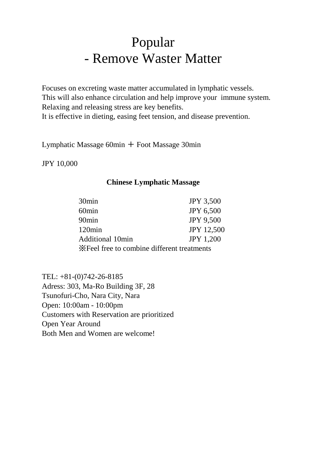# Popular - Remove Waster Matter

Focuses on excreting waste matter accumulated in lymphatic vessels. This will also enhance circulation and help improve your immune system. Relaxing and releasing stress are key benefits. It is effective in dieting, easing feet tension, and disease prevention.

Lymphatic Massage  $60$ min  $+$  Foot Massage 30min

JPY 10,000

#### **Chinese Lymphatic Massage**

| 30 <sub>min</sub>                           | <b>JPY 3,500</b>  |  |  |
|---------------------------------------------|-------------------|--|--|
| 60 <sub>min</sub>                           | <b>JPY 6,500</b>  |  |  |
| 90 <sub>min</sub>                           | <b>JPY 9,500</b>  |  |  |
| 120min                                      | <b>JPY 12,500</b> |  |  |
| <b>Additional 10min</b>                     | <b>JPY 1,200</b>  |  |  |
| X Feel free to combine different treatments |                   |  |  |

TEL: +81-(0)742-26-8185 Adress: 303, Ma-Ro Building 3F, 28 Tsunofuri-Cho, Nara City, Nara Open: 10:00am - 10:00pm Customers with Reservation are prioritized Open Year Around Both Men and Women are welcome!